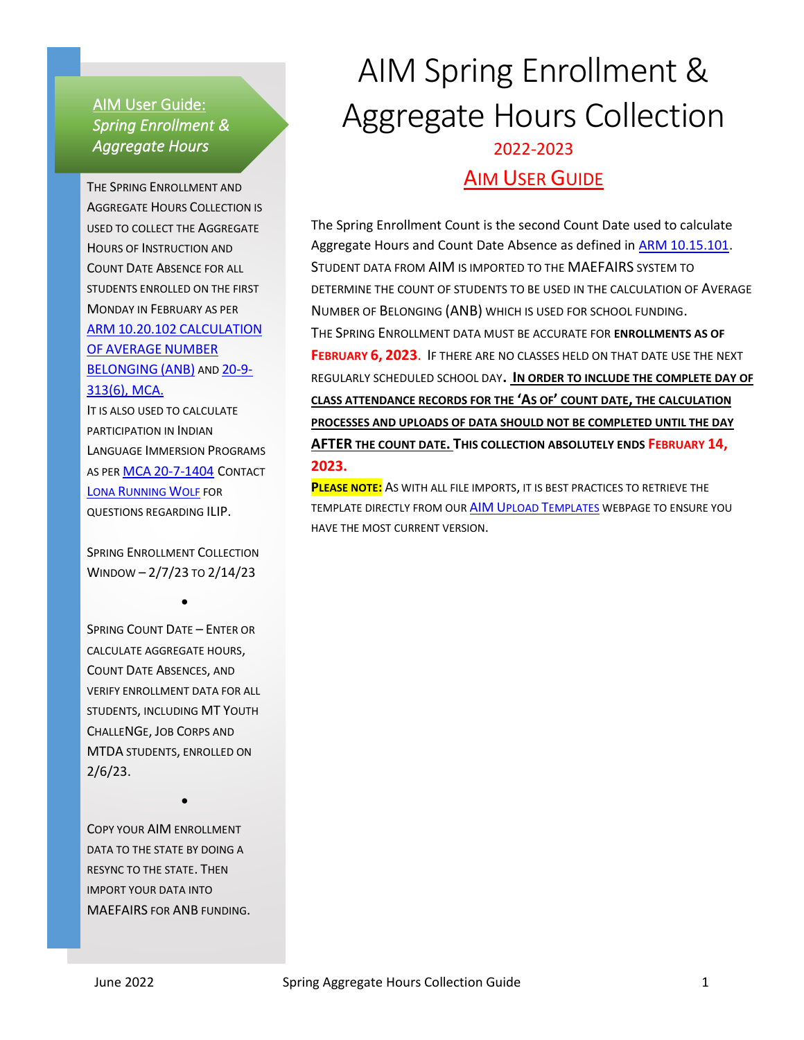#### AIM User Guide: *Spring Enrollment & Aggregate Hours*

THE SPRING ENROLLMENT AND AGGREGATE HOURS COLLECTION IS USED TO COLLECT THE AGGREGATE HOURS OF INSTRUCTION AND COUNT DATE ABSENCE FOR ALL STUDENTS ENROLLED ON THE FIRST MONDAY IN FEBRUARY AS PER ARM 10.20.102 [CALCULATION](http://www.mtrules.org/gateway/ruleno.asp?RN=10.20.102) OF [AVERAGE](http://www.mtrules.org/gateway/ruleno.asp?RN=10.20.102) NUMBER [BELONGING](http://www.mtrules.org/gateway/ruleno.asp?RN=10.20.102) (ANB) AND [20-9-](https://leg.mt.gov/bills/mca/title_0200/chapter_0090/part_0030/section_0130/0200-0090-0030-0130.html) [313\(6\), MCA.](https://leg.mt.gov/bills/mca/title_0200/chapter_0090/part_0030/section_0130/0200-0090-0030-0130.html) IT IS ALSO USED TO CALCULATE

PARTICIPATION IN INDIAN LANGUAGE IMMERSION PROGRAMS AS PER MCA [20-7-1404](IT%20IS%20ALSO%20USED%20TO%20CALCULATE%20PARTICIPATION%20IN%20INDIAN%20LANGUAGE%20IMMERSION%20PROGRAMS) CONTACT LONA R[UNNING](mailto:lona.runningwolf@mt.gov) WOLF FOR QUESTIONS REGARDING ILIP.

SPRING ENROLLMENT COLLECTION WINDOW – 2/7/23 TO 2/14/23

•

SPRING COUNT DATE – ENTER OR CALCULATE AGGREGATE HOURS, COUNT DATE ABSENCES, AND VERIFY ENROLLMENT DATA FOR ALL STUDENTS, INCLUDING MT YOUTH CHALLENGE, JOB CORPS AND MTDA STUDENTS, ENROLLED ON 2/6/23.

COPY YOUR AIM ENROLLMENT DATA TO THE STATE BY DOING A RESYNC TO THE STATE. THEN IMPORT YOUR DATA INTO MAEFAIRS FOR ANB FUNDING.

•

# AIM Spring Enrollment & Aggregate Hours Collection 2022-2023 AIM USER GUIDE

The Spring Enrollment Count is the second Count Date used to calculate Aggregate Hours and Count Date Absence as defined in **ARM 10.15.101**. STUDENT DATA FROM AIM IS IMPORTED TO THE MAEFAIRS SYSTEM TO DETERMINE THE COUNT OF STUDENTS TO BE USED IN THE CALCULATION OF AVERAGE NUMBER OF BELONGING (ANB) WHICH IS USED FOR SCHOOL FUNDING. THE SPRING ENROLLMENT DATA MUST BE ACCURATE FOR **ENROLLMENTS AS OF FEBRUARY 6, 2023**. IF THERE ARE NO CLASSES HELD ON THAT DATE USE THE NEXT REGULARLY SCHEDULED SCHOOL DAY**. IN ORDER TO INCLUDE THE COMPLETE DAY OF CLASS ATTENDANCE RECORDS FOR THE 'AS OF' COUNT DATE, THE CALCULATION PROCESSES AND UPLOADS OF DATA SHOULD NOT BE COMPLETED UNTIL THE DAY AFTER THE COUNT DATE. THIS COLLECTION ABSOLUTELY ENDS FEBRUARY 14, 2023.**

**PLEASE NOTE:** AS WITH ALL FILE IMPORTS, IT IS BEST PRACTICES TO RETRIEVE THE TEMPLATE DIRECTLY FROM OUR AIM UPLOAD T[EMPLATES](http://opi.mt.gov/Leadership/Data-Reporting/AIM-Achievement-in-Montana/AIM-Upload-Templates) WEBPAGE TO ENSURE YOU HAVE THE MOST CURRENT VERSION.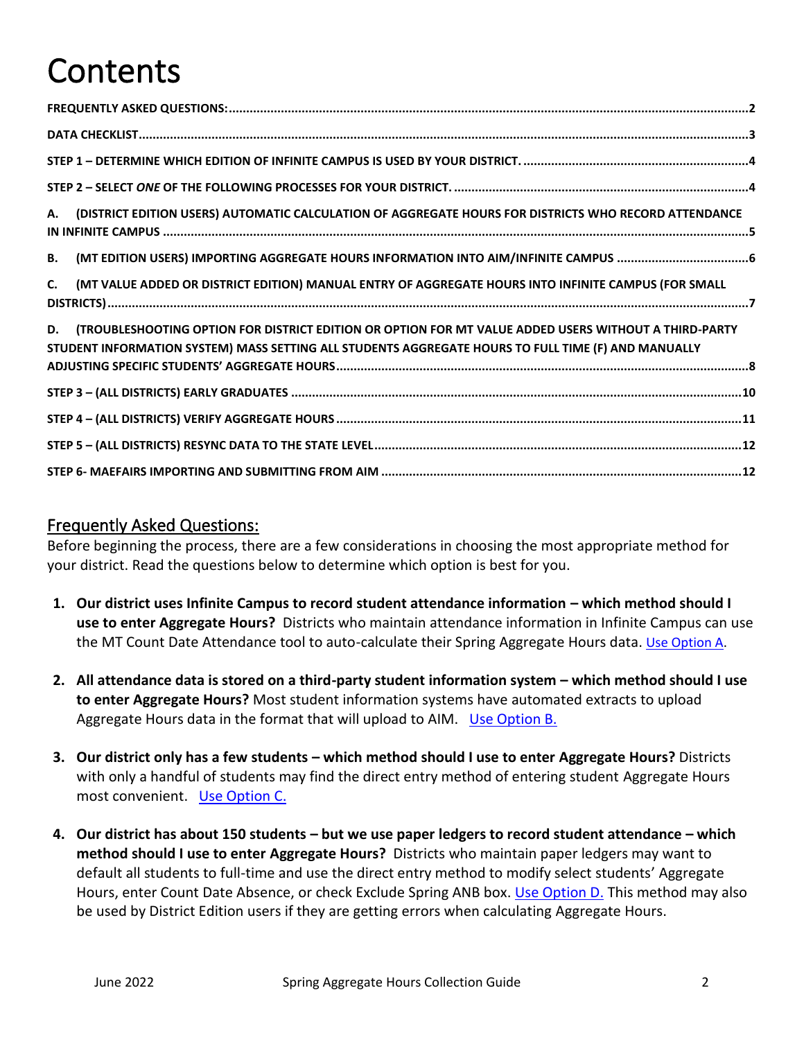# Contents

| (DISTRICT EDITION USERS) AUTOMATIC CALCULATION OF AGGREGATE HOURS FOR DISTRICTS WHO RECORD ATTENDANCE<br>А.                                                                                                        |
|--------------------------------------------------------------------------------------------------------------------------------------------------------------------------------------------------------------------|
| <b>B.</b>                                                                                                                                                                                                          |
| (MT VALUE ADDED OR DISTRICT EDITION) MANUAL ENTRY OF AGGREGATE HOURS INTO INFINITE CAMPUS (FOR SMALL<br>C.                                                                                                         |
| (TROUBLESHOOTING OPTION FOR DISTRICT EDITION OR OPTION FOR MT VALUE ADDED USERS WITHOUT A THIRD-PARTY<br>D.<br>STUDENT INFORMATION SYSTEM) MASS SETTING ALL STUDENTS AGGREGATE HOURS TO FULL TIME (F) AND MANUALLY |
|                                                                                                                                                                                                                    |
|                                                                                                                                                                                                                    |
|                                                                                                                                                                                                                    |
|                                                                                                                                                                                                                    |

#### <span id="page-1-0"></span>Frequently Asked Questions:

Before beginning the process, there are a few considerations in choosing the most appropriate method for your district. Read the questions below to determine which option is best for you.

- **1. Our district uses Infinite Campus to record student attendance information – which method should I use to enter Aggregate Hours?** Districts who maintain attendance information in Infinite Campus can use the MT Count Date Attendance tool to auto-calculate their Spring Aggregate Hours data. [Use Option A.](#page-3-2)
- **2.** All attendance data is stored on a third-party student information system which method should I use **to enter Aggregate Hours?** Most student information systems have automated extracts to upload Aggregate Hours data in the format that will upload to AIM. Use Option B.
- **3. Our district only has a few students – which method should I use to enter Aggregate Hours?** Districts with only a handful of students may find the direct entry method of entering student Aggregate Hours most convenient. [Use Option C.](#page-6-1)
- **4. Our district has about 150 students – but we use paper ledgers to record student attendance – which method should I use to enter Aggregate Hours?** Districts who maintain paper ledgers may want to default all students to full-time and use the direct entry method to modify select students' Aggregate Hours, enter Count Date Absence, or check Exclude Spring ANB box. [Use Option D.](#page-7-0) This method may also be used by District Edition users if they are getting errors when calculating Aggregate Hours.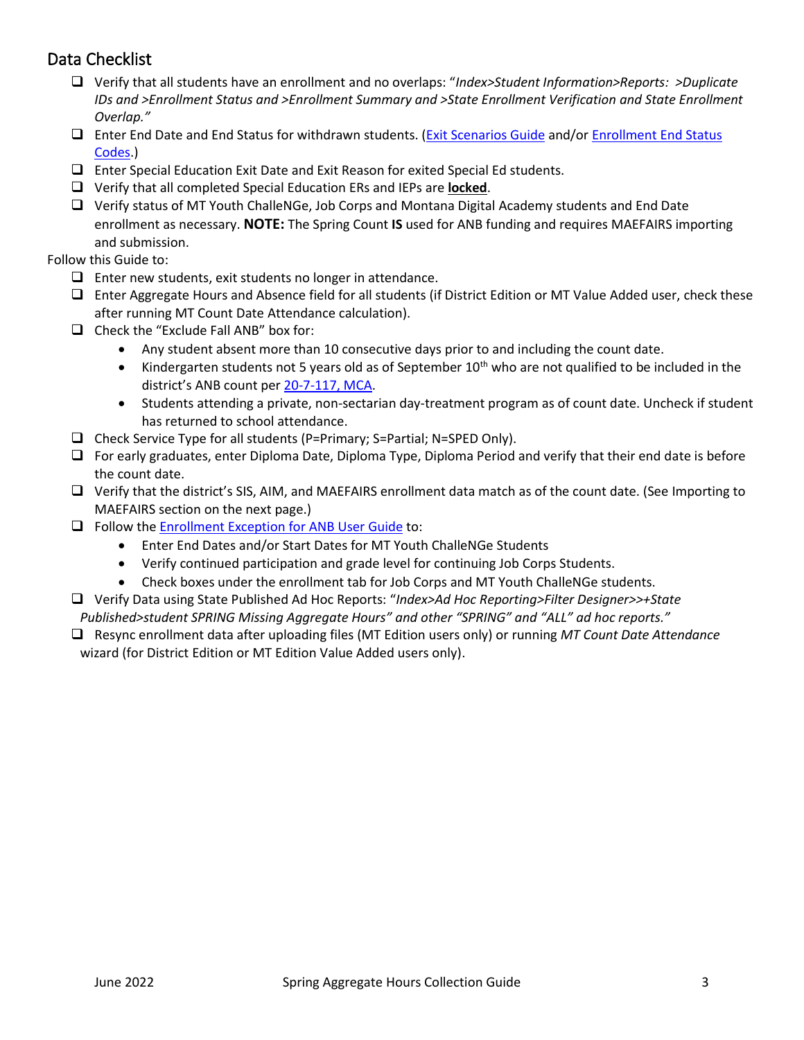## <span id="page-2-0"></span>Data Checklist

- ❑ Verify that all students have an enrollment and no overlaps: "*Index>Student Information>Reports: >Duplicate IDs and >Enrollment Status and >Enrollment Summary and >State Enrollment Verification and State Enrollment Overlap."*
- ❑ Enter End Date and End Status for withdrawn students. [\(Exit Scenarios Guide](http://opi.mt.gov/Portals/182/Page%20Files/AIM/2%20AIM%20USER%20GUIDES/User%20Guides%20by%20Topic/Enrollment/Exit%20Scenarios.pdf) and/o[r Enrollment End Status](http://opi.mt.gov/Portals/182/Page%20Files/AIM/2%20AIM%20USER%20GUIDES/User%20Guides%20by%20Topic/Code%20Definition%20Appendices/APPENDIX%20B%20Enrollment%20End%20Status.pdf)  [Codes.](http://opi.mt.gov/Portals/182/Page%20Files/AIM/2%20AIM%20USER%20GUIDES/User%20Guides%20by%20Topic/Code%20Definition%20Appendices/APPENDIX%20B%20Enrollment%20End%20Status.pdf))
- ❑ Enter Special Education Exit Date and Exit Reason for exited Special Ed students.
- ❑ Verify that all completed Special Education ERs and IEPs are **locked**.
- ❑ Verify status of MT Youth ChalleNGe, Job Corps and Montana Digital Academy students and End Date enrollment as necessary. **NOTE:** The Spring Count **IS** used for ANB funding and requires MAEFAIRS importing and submission.

Follow this Guide to:

- $\Box$  Enter new students, exit students no longer in attendance.
- ❑ Enter Aggregate Hours and Absence field for all students (if District Edition or MT Value Added user, check these after running MT Count Date Attendance calculation).
- ❑ Check the "Exclude Fall ANB" box for:
	- Any student absent more than 10 consecutive days prior to and including the count date.
	- Kindergarten students not 5 years old as of September  $10^{th}$  who are not qualified to be included in the district's ANB count per [20-7-117, MCA.](https://leg.mt.gov/bills/mca/title_0200/chapter_0070/part_0010/section_0170/0200-0070-0010-0170.html)
	- Students attending a private, non-sectarian day-treatment program as of count date. Uncheck if student has returned to school attendance.
- ❑ Check Service Type for all students (P=Primary; S=Partial; N=SPED Only).
- ❑ For early graduates, enter Diploma Date, Diploma Type, Diploma Period and verify that their end date is before the count date.
- ❑ Verify that the district's SIS, AIM, and MAEFAIRS enrollment data match as of the count date. (See Importing to MAEFAIRS section on the next page.)
- ❑ Follow th[e Enrollment Exception for ANB User Guide](https://opi.mt.gov/Portals/182/Page%20Files/AIM/2%20AIM%20USER%20GUIDES/Program%20Participation/Enrollment%20Exceptions%20for%20ANB%20Funding.pdf?ver=2021-07-23-094606-517) to:
	- Enter End Dates and/or Start Dates for MT Youth ChalleNGe Students
	- Verify continued participation and grade level for continuing Job Corps Students.
	- Check boxes under the enrollment tab for Job Corps and MT Youth ChalleNGe students.
- ❑ Verify Data using State Published Ad Hoc Reports: "*Index>Ad Hoc Reporting>Filter Designer>>+State Published>student SPRING Missing Aggregate Hours" and other "SPRING" and "ALL" ad hoc reports."*
- ❑ Resync enrollment data after uploading files (MT Edition users only) or running *MT Count Date Attendance* wizard (for District Edition or MT Edition Value Added users only).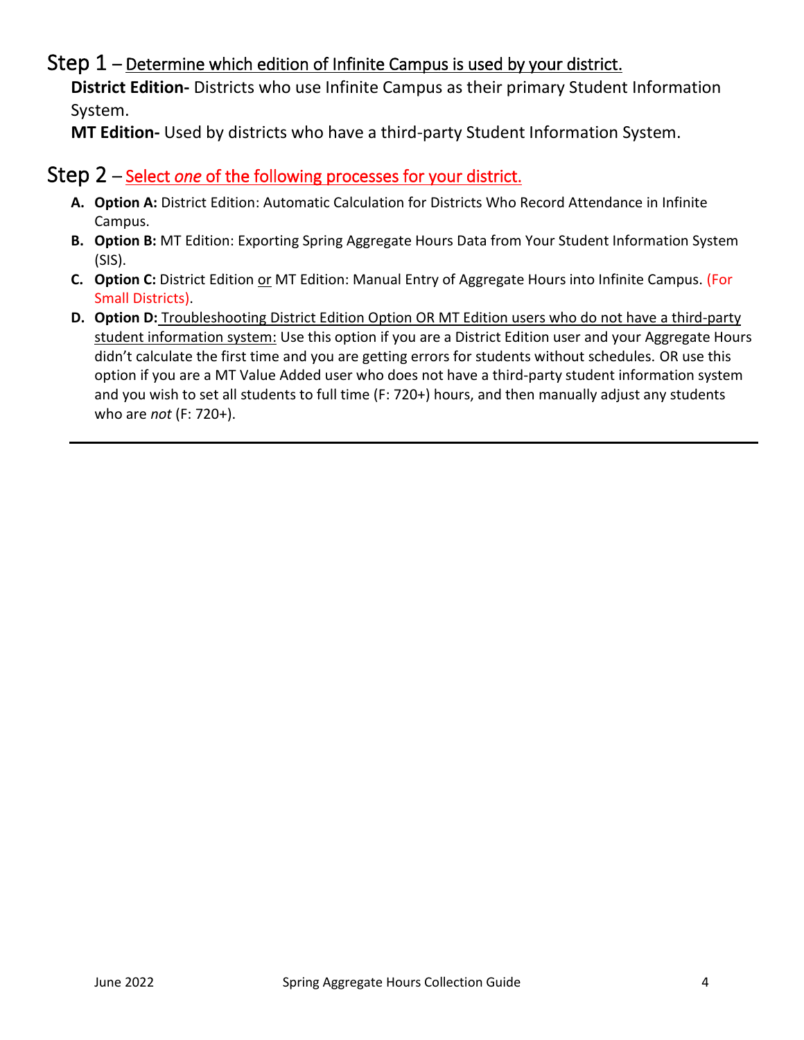# <span id="page-3-0"></span>Step  $1$  – Determine which edition of Infinite Campus is used by your district.

**District Edition-** Districts who use Infinite Campus as their primary Student Information System.

<span id="page-3-1"></span>**MT Edition-** Used by districts who have a third-party Student Information System.

#### Step 2 – Select *one* of the following processes for your district.

- **A. Option A:** District Edition: Automatic Calculation for Districts Who Record Attendance in Infinite Campus.
- **B. Option B:** MT Edition: Exporting Spring Aggregate Hours Data from Your Student Information System (SIS).
- **C.** Option C: District Edition or MT Edition: Manual Entry of Aggregate Hours into Infinite Campus. (For Small Districts).
- <span id="page-3-2"></span>**D. Option D:** Troubleshooting District Edition Option OR MT Edition users who do not have a third-party student information system: Use this option if you are a District Edition user and your Aggregate Hours didn't calculate the first time and you are getting errors for students without schedules. OR use this option if you are a MT Value Added user who does not have a third-party student information system and you wish to set all students to full time (F: 720+) hours, and then manually adjust any students who are *not* (F: 720+).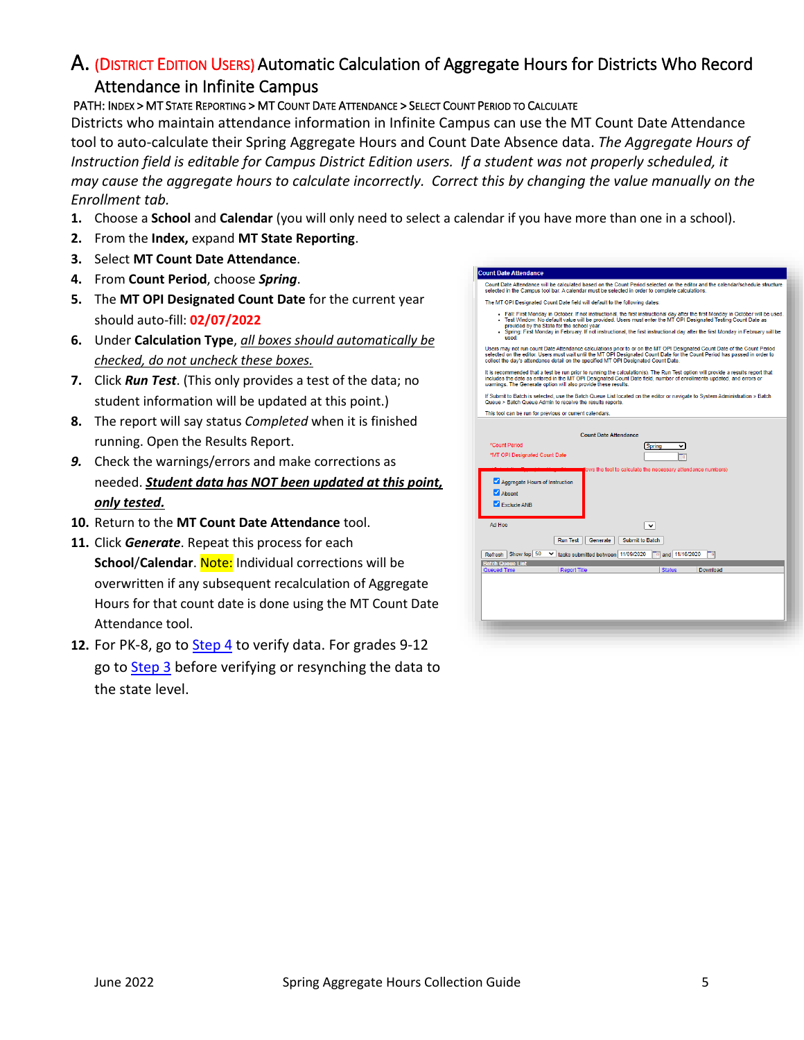# A. (DISTRICT EDITION USERS) Automatic Calculation of Aggregate Hours for Districts Who Record

## Attendance in Infinite Campus

#### PATH: INDEX > MT STATE REPORTING > MT COUNT DATE ATTENDANCE > SELECT COUNT PERIOD TO CALCULATE

Districts who maintain attendance information in Infinite Campus can use the MT Count Date Attendance tool to auto-calculate their Spring Aggregate Hours and Count Date Absence data. *The Aggregate Hours of Instruction field is editable for Campus District Edition users. If a student was not properly scheduled, it may cause the aggregate hours to calculate incorrectly. Correct this by changing the value manually on the Enrollment tab.* 

- **1.** Choose a **School** and **Calendar** (you will only need to select a calendar if you have more than one in a school).
- **2.** From the **Index,** expand **MT State Reporting**.
- **3.** Select **MT Count Date Attendance**.
- **4.** From **Count Period**, choose *Spring*.
- **5.** The **MT OPI Designated Count Date** for the current year should auto-fill: **02/07/2022**
- **6.** Under **Calculation Type**, *all boxes should automatically be checked, do not uncheck these boxes.*
- **7.** Click *Run Test*. (This only provides a test of the data; no student information will be updated at this point.)
- **8.** The report will say status *Completed* when it is finished running. Open the Results Report.
- *9.* Check the warnings/errors and make corrections as needed. *Student data has NOT been updated at this point, only tested.*
- **10.** Return to the **MT Count Date Attendance** tool.
- **11.** Click *Generate*. Repeat this process for each **School/Calendar.** Note: Individual corrections will be overwritten if any subsequent recalculation of Aggregate Hours for that count date is done using the MT Count Date Attendance tool.
- **12.** For PK-8, go to [Step 4](#page-10-0) to verify data. For grades 9-12 go to [Step 3](#page-8-0) before verifying or resynching the data to the state level.

| Count Date Attendance will be calculated based on the Count Period selected on the editor and the calendar/schedule structure<br>selected in the Campus tool bar. A calendar must be selected in order to complete calculations. |
|----------------------------------------------------------------------------------------------------------------------------------------------------------------------------------------------------------------------------------|
|                                                                                                                                                                                                                                  |

- Fall: First Monday in October. If not instructional, the first instructional day after the first Monday in October will be used<br>Test Window: No default value will be provided. Users must enter the MT OPI Designated Testing
- 

may not run count Date Attendance calculations prior to or on the MT OPI Designated Count Date of the Count Period<br>ed on the editor. Users must wait until the MT OPI Designated Count Date for the Count Period has passed in

nmended that a test be run prior to running the calculation(s). The Run Test option will provide a res<br>the date as entered in the MT OPI Designated Count Date field, number of enrollments updated, an<br>. The Generate option

If Submit to Batch is selected, use the Batch Queue List located on the editor or navigate to System Admi<br>Queue > Batch Queue Admin to receive the results reports

|  |  | This tool can be run for previous or current calendars |  |  |
|--|--|--------------------------------------------------------|--|--|
|  |  |                                                        |  |  |

**Count Date Attendance** 

| <b>Count Date Attendance</b>                                                                 |
|----------------------------------------------------------------------------------------------|
| *Count Period<br>Spring                                                                      |
| *MT OPI Designated Count Date<br>Te                                                          |
|                                                                                              |
| jows the tool to calculate the necessary attendance numbers)                                 |
| Aggregate Hours of Instruction                                                               |
| Ahsent                                                                                       |
| Exclude ANB                                                                                  |
|                                                                                              |
| Ad Hoc<br>$\check{~}$                                                                        |
|                                                                                              |
| Run Test<br>Generate<br>Submit to Batch                                                      |
| Refresh Show top 50<br>T# and 11/16/2020<br>Tal<br>$\vee$ tasks submitted between 11/09/2020 |
| <b>Batch Queue List</b>                                                                      |
| <b>Report Title</b><br><b>Status</b><br>Queued Time<br>Download                              |
|                                                                                              |
|                                                                                              |
|                                                                                              |
|                                                                                              |
|                                                                                              |
|                                                                                              |
|                                                                                              |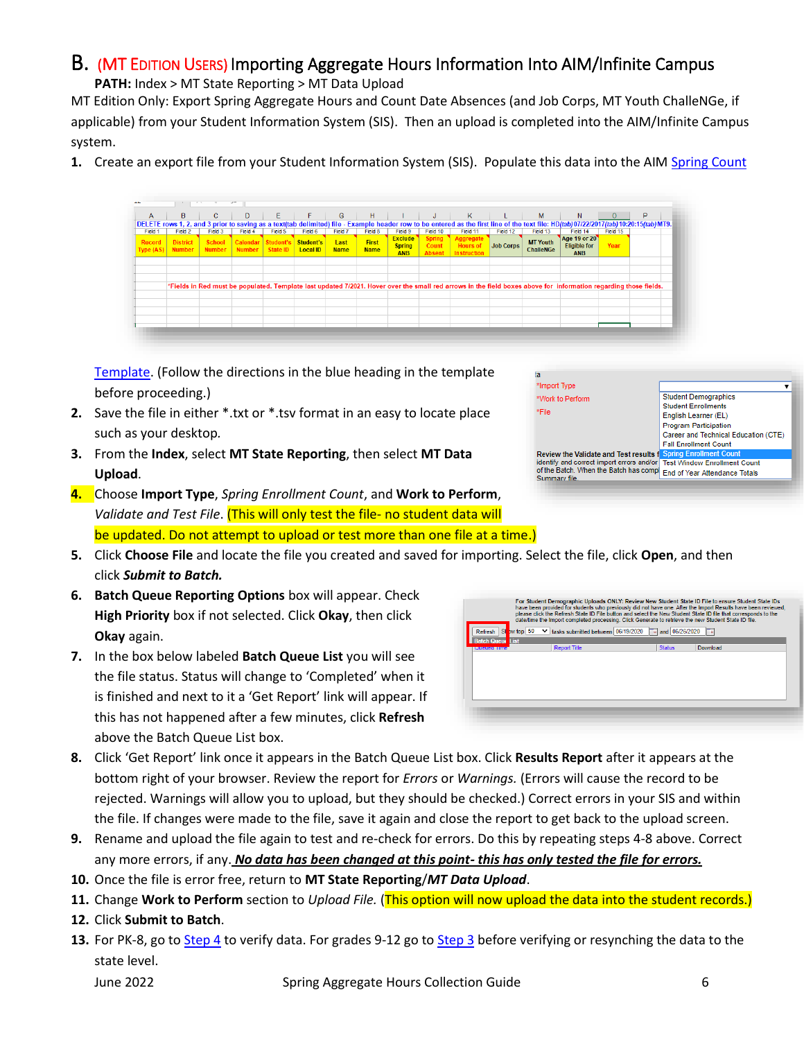## <span id="page-5-1"></span><span id="page-5-0"></span>B. (MT EDITION USERS) Importing Aggregate Hours Information Into AIM/Infinite Campus

**PATH:** Index > MT State Reporting > MT Data Upload

MT Edition Only: Export Spring Aggregate Hours and Count Date Absences (and Job Corps, MT Youth ChalleNGe, if applicable) from your Student Information System (SIS). Then an upload is completed into the AIM/Infinite Campus system.

**1.** Create an export file from your Student Information System (SIS). Populate this data into the AIM [Spring Count](http://opi.mt.gov/Portals/182/Page%20Files/AIM/3%20AIM%20UPLOAD%20TEMPLATES/Spring%20Count%20Template.xlsx?ver=2020-06-19-085044-437)

| A                         | B.                               | c.                             | D             | E.                                    | F.                           | G                   | H                           | <b>Contract Contract</b>                      | $J$                                     | K                                                  |                  | M                                   | N                                                                                                                                                                                      | $\circ$  | P |  |
|---------------------------|----------------------------------|--------------------------------|---------------|---------------------------------------|------------------------------|---------------------|-----------------------------|-----------------------------------------------|-----------------------------------------|----------------------------------------------------|------------------|-------------------------------------|----------------------------------------------------------------------------------------------------------------------------------------------------------------------------------------|----------|---|--|
|                           |                                  |                                |               |                                       |                              |                     |                             |                                               |                                         |                                                    |                  |                                     | DELETE rows 1, 2, and 3 prior to saving as a text(tab delimited) file - Example header row to be entered as the first line of the text file: HD(tab)07/22/2017(tab) 10:20:15(tab) MT9. |          |   |  |
| Field 1                   | Field 2                          | Field 3                        | Field 4       | Field 5                               | Field 6                      | Field 7             | Field 8                     | Field 9                                       | Field 10                                | Field 11                                           | Field 12         | Field 13                            | Field 14                                                                                                                                                                               | Field 15 |   |  |
| <b>Record</b><br>Type(AS) | <b>District</b><br><b>Number</b> | <b>School</b><br><b>Number</b> | <b>Number</b> | <b>Calendar Student's</b><br>State ID | Student's<br><b>Local ID</b> | Last<br><b>Name</b> | <b>First</b><br><b>Name</b> | <b>Exclude</b><br><b>Spring</b><br><b>ANB</b> | <b>Spring</b><br>Count<br><b>Absent</b> | Aggregate<br><b>Hours of</b><br><b>Instruction</b> | <b>Job Corps</b> | <b>MT Youth</b><br><b>ChalleNGe</b> | Age 19 or 20<br><b>Eligible for</b><br><b>ANB</b>                                                                                                                                      | Year     |   |  |
|                           |                                  |                                |               |                                       |                              |                     |                             |                                               |                                         |                                                    |                  |                                     |                                                                                                                                                                                        |          |   |  |
|                           |                                  |                                |               |                                       |                              |                     |                             |                                               |                                         |                                                    |                  |                                     |                                                                                                                                                                                        |          |   |  |
|                           |                                  |                                |               |                                       |                              |                     |                             |                                               |                                         |                                                    |                  |                                     | *Fields in Red must be populated. Template last updated 7/2021. Hover over the small red arrows in the field boxes above for information regarding those fields.                       |          |   |  |
|                           |                                  |                                |               |                                       |                              |                     |                             |                                               |                                         |                                                    |                  |                                     |                                                                                                                                                                                        |          |   |  |
|                           |                                  |                                |               |                                       |                              |                     |                             |                                               |                                         |                                                    |                  |                                     |                                                                                                                                                                                        |          |   |  |
|                           |                                  |                                |               |                                       |                              |                     |                             |                                               |                                         |                                                    |                  |                                     |                                                                                                                                                                                        |          |   |  |
|                           |                                  |                                |               |                                       |                              |                     |                             |                                               |                                         |                                                    |                  |                                     |                                                                                                                                                                                        |          |   |  |
|                           |                                  |                                |               |                                       |                              |                     |                             |                                               |                                         |                                                    |                  |                                     |                                                                                                                                                                                        |          |   |  |

[Template.](http://opi.mt.gov/Portals/182/Page%20Files/AIM/3%20AIM%20UPLOAD%20TEMPLATES/Spring%20Count%20Template.xlsx?ver=2020-06-19-085044-437) (Follow the directions in the blue heading in the template before proceeding.)

- **2.** Save the file in either \*.txt or \*.tsv format in an easy to locate place such as your desktop*.*
- **3.** From the **Index**, select **MT State Reporting**, then select **MT Data Upload**.
- **4.** Choose **Import Type**, *Spring Enrollment Count*, and **Work to Perform**, *Validate and Test File*. (This will only test the file- no student data will be updated. Do not attempt to upload or test more than one file at a time.)
- ta. \*Import Type  $\overline{\mathbf{v}}$ **Student Demographics** \*Work to Perform Student Enrollme \*File English Learner (EL) **Program Participation** Career and Technical Education (CTE) **Fall Enrollment Count** Review the Validate and Test results f identify and correct import errors and/or Test Window Enrollment Count identify and correct import errors and/or lest Window Enrollment Coun<br>of the Batch. When the Batch has compl<br>Summary file Summary file
- **5.** Click **Choose File** and locate the file you created and saved for importing. Select the file, click **Open**, and then click *Submit to Batch.*
- **6. Batch Queue Reporting Options** box will appear. Check **High Priority** box if not selected. Click **Okay**, then click **Okay** again.
- **7.** In the box below labeled **Batch Queue List** you will see the file status. Status will change to 'Completed' when it is finished and next to it a 'Get Report' link will appear. If this has not happened after a few minutes, click **Refresh** above the Batch Queue List box.

|                    |                             | For Student Demographic Uploads ONLY: Review New Student State ID File to ensure Student State IDs<br>have been provided for students who previously did not have one. After the Import Results have been reviewed.<br>please click the Refresh State ID File button and select the New Student State ID file that corresponds to the<br>date/time the Import completed processing. Click Generate to retrieve the new Student State ID file. |                |          |
|--------------------|-----------------------------|-----------------------------------------------------------------------------------------------------------------------------------------------------------------------------------------------------------------------------------------------------------------------------------------------------------------------------------------------------------------------------------------------------------------------------------------------|----------------|----------|
| SI<br>Refresh      | bw top $50$<br>$\checkmark$ | tasks submitted between 06/19/2020                                                                                                                                                                                                                                                                                                                                                                                                            | and 06/26/2020 | ъ        |
| List               |                             |                                                                                                                                                                                                                                                                                                                                                                                                                                               |                |          |
| <b>Queued Time</b> |                             | <b>Report Title</b>                                                                                                                                                                                                                                                                                                                                                                                                                           | <b>Status</b>  | Download |
|                    |                             |                                                                                                                                                                                                                                                                                                                                                                                                                                               |                |          |
|                    |                             |                                                                                                                                                                                                                                                                                                                                                                                                                                               |                |          |
|                    |                             |                                                                                                                                                                                                                                                                                                                                                                                                                                               |                |          |

- **8.** Click 'Get Report' link once it appears in the Batch Queue List box. Click **Results Report** after it appears at the bottom right of your browser. Review the report for *Errors* or *Warnings.* (Errors will cause the record to be rejected. Warnings will allow you to upload, but they should be checked.) Correct errors in your SIS and within the file. If changes were made to the file, save it again and close the report to get back to the upload screen.
- **9.** Rename and upload the file again to test and re-check for errors. Do this by repeating steps 4-8 above. Correct any more errors, if any. *No data has been changed at this point- this has only tested the file for errors.*
- **10.** Once the file is error free, return to **MT State Reporting**/*MT Data Upload*.
- **11.** Change **Work to Perform** section to *Upload File.* (This option will now upload the data into the student records.)
- **12.** Click **Submit to Batch**.
- **13.** For PK-8, go to [Step 4](#page-10-0) to verify data. For grades 9-12 go to [Step 3](#page-8-0) before verifying or resynching the data to the state level.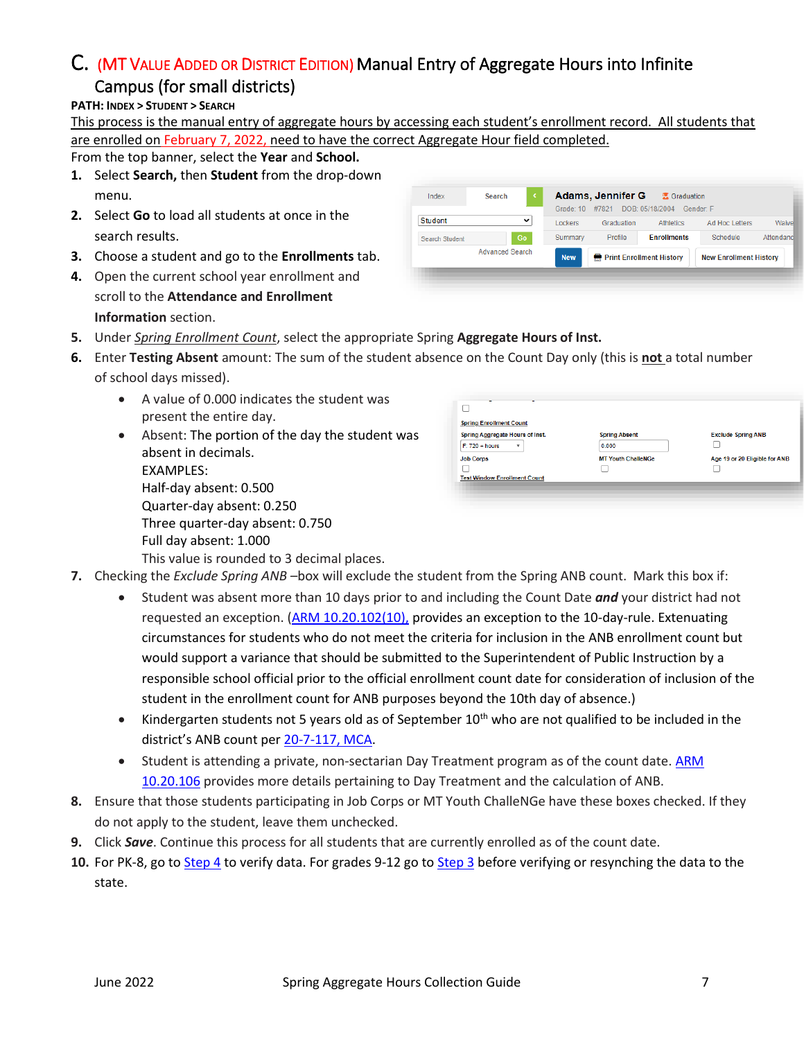## <span id="page-6-1"></span><span id="page-6-0"></span>C. (MT VALUE ADDED OR DISTRICT EDITION) Manual Entry of Aggregate Hours into Infinite

#### Campus (for small districts)

**PATH: INDEX > STUDENT > SEARCH**

This process is the manual entry of aggregate hours by accessing each student's enrollment record. All students that are enrolled on February 7, 2022, need to have the correct Aggregate Hour field completed.

From the top banner, select the **Year** and **School.**

- **1.** Select **Search,** then **Student** from the drop-down menu.
- **2.** Select **Go** to load all students at once in the search results.
- **3.** Choose a student and go to the **Enrollments** tab.
- **4.** Open the current school year enrollment and scroll to the **Attendance and Enrollment Information** section.

| <b>Advanced Search</b> |             | <b>New</b>     | <b>Print Enrollment History</b>                   |                     | <b>New Enrollment History</b> |           |
|------------------------|-------------|----------------|---------------------------------------------------|---------------------|-------------------------------|-----------|
| Search Student         | Go          | Summary        | Profile                                           | <b>Enrollments</b>  | Schedule                      | Attendanc |
| <b>Student</b>         | $\check{ }$ | <b>Lockers</b> | Graduation                                        | Athletics           | Ad Hoc Letters                | Waivel    |
| Index                  | Search      | Grade: 10      | <b>Adams, Jennifer G</b><br>#7821 DOB: 05/18/2004 | <b>K</b> Graduation | Gender F                      |           |

- **5.** Under *Spring Enrollment Count*, select the appropriate Spring **Aggregate Hours of Inst.**
- **6.** Enter **Testing Absent** amount: The sum of the student absence on the Count Day only (this is **not** a total number of school days missed).
	- A value of 0.000 indicates the student was present the entire day.
	- Absent: The portion of the day the student was absent in decimals. EXAMPLES: Half-day absent: 0.500 Quarter-day absent: 0.250 Three quarter-day absent: 0.750 Full day absent: 1.000 This value is rounded to 3 decimal places.

| Spring Aggregate Hours of Inst.  | <b>Spring Absent</b>      | <b>Exclude Spring ANB</b>     |
|----------------------------------|---------------------------|-------------------------------|
| $F: 720 + hours$<br>$\mathbf{v}$ | 0.000                     |                               |
| <b>Job Corps</b>                 | <b>MT Youth ChalleNGe</b> | Age 19 or 20 Eligible for ANB |
|                                  |                           |                               |

- **7.** Checking the *Exclude Spring ANB –*box will exclude the student from the Spring ANB count. Mark this box if:
	- Student was absent more than 10 days prior to and including the Count Date *and* your district had not requested an exception. [\(ARM 10.20.102\(10\),](http://www.mtrules.org/gateway/ruleno.asp?RN=10%2E20%2E102) provides an exception to the 10-day-rule. Extenuating circumstances for students who do not meet the criteria for inclusion in the ANB enrollment count but would support a variance that should be submitted to the Superintendent of Public Instruction by a responsible school official prior to the official enrollment count date for consideration of inclusion of the student in the enrollment count for ANB purposes beyond the 10th day of absence.)
	- Kindergarten students not 5 years old as of September  $10^{th}$  who are not qualified to be included in the district's ANB count per [20-7-117, MCA.](https://leg.mt.gov/bills/mca/title_0200/chapter_0070/part_0010/section_0170/0200-0070-0010-0170.html)
	- Student is attending a private, non-sectarian Day Treatment program as of the count date. [ARM](http://www.mtrules.org/gateway/ruleno.asp?RN=10.20.106)  [10.20.106](http://www.mtrules.org/gateway/ruleno.asp?RN=10.20.106) provides more details pertaining to Day Treatment and the calculation of ANB.
- **8.** Ensure that those students participating in Job Corps or MT Youth ChalleNGe have these boxes checked. If they do not apply to the student, leave them unchecked.
- **9.** Click *Save*. Continue this process for all students that are currently enrolled as of the count date.
- **10.** For PK-8, go to [Step 4](#page-10-0) to verify data. For grades 9-12 go to [Step 3](#page-8-0) before verifying or resynching the data to the state.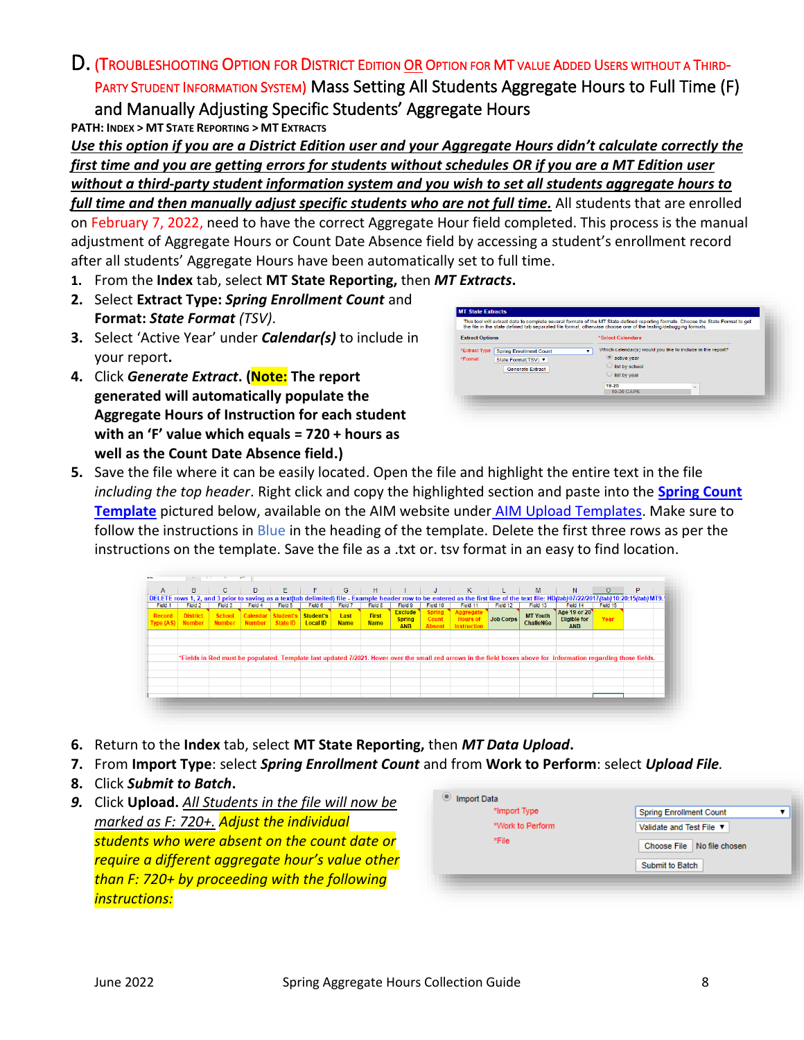## <span id="page-7-0"></span>D. (TROUBLESHOOTING OPTION FOR DISTRICT <sup>E</sup>DITION OR <sup>O</sup>PTION FOR MT VALUE ADDED USERS WITHOUT A THIRD-PARTY STUDENT INFORMATION SYSTEM) Mass Setting All Students Aggregate Hours to Full Time (F) and Manually Adjusting Specific Students' Aggregate Hours

**PATH: INDEX > MT STATE REPORTING > MT EXTRACTS**

*Use this option if you are a District Edition user and your Aggregate Hours didn't calculate correctly the first time and you are getting errors for students without schedules OR if you are a MT Edition user without a third-party student information system and you wish to set all students aggregate hours to* 

*full time and then manually adjust specific students who are not full time.* All students that are enrolled on February 7, 2022, need to have the correct Aggregate Hour field completed. This process is the manual adjustment of Aggregate Hours or Count Date Absence field by accessing a student's enrollment record after all students' Aggregate Hours have been automatically set to full time.

- **1.** From the **Index** tab, select **MT State Reporting,** then *MT Extracts***.**
- **2.** Select **Extract Type:** *Spring Enrollment Count* and **Format:** *State Format (TSV)*.
- **3.** Select 'Active Year' under *Calendar(s)* to include in your report**.**
- **4.** Click *Generate Extract***. (Note: The report generated will automatically populate the Aggregate Hours of Instruction for each student with an 'F' value which equals = 720 + hours as well as the Count Date Absence field.)**



**5.** Save the file where it can be easily located. Open the file and highlight the entire text in the file *including the top header*. Right click and copy the highlighted section and paste into the **Spring [Count](http://opi.mt.gov/Portals/182/Page%20Files/AIM/3%20AIM%20UPLOAD%20TEMPLATES/Spring%20Count%20Template.xlsx?ver=2020-06-19-085044-437)  [Template](http://opi.mt.gov/Portals/182/Page%20Files/AIM/3%20AIM%20UPLOAD%20TEMPLATES/Spring%20Count%20Template.xlsx?ver=2020-06-19-085044-437)** pictured below, available on the AIM website under [AIM Upload Templates.](http://opi.mt.gov/Leadership/Data-Reporting/AIM-Achievement-in-Montana/AIM-Upload-Templates) Make sure to follow the instructions in Blue in the heading of the template. Delete the first three rows as per the instructions on the template. Save the file as a .txt or. tsv format in an easy to find location.

| $\mathsf{A}$               | в                                | c                              | D                                       | E.      | F.                           | G                   | H                           |                                               | J                                       | K                                                  |                  | M                                   | N                                                                                                                                                                                    | $\circ$  | P |  |
|----------------------------|----------------------------------|--------------------------------|-----------------------------------------|---------|------------------------------|---------------------|-----------------------------|-----------------------------------------------|-----------------------------------------|----------------------------------------------------|------------------|-------------------------------------|--------------------------------------------------------------------------------------------------------------------------------------------------------------------------------------|----------|---|--|
|                            |                                  |                                |                                         |         |                              |                     |                             |                                               |                                         |                                                    |                  |                                     | DELETE rows 1, 2, and 3 prior to saving as a text(tab delimited) file - Example header row to be entered as the first line of the text file: HD(tab)07/22/2017(tab)10:20:15(tab)MT9. |          |   |  |
| Field 1                    | Field 2                          | Field 3                        | Field 4                                 | Field 5 | Field 6                      | Field 7             | Field 8                     | Field 9                                       | Field 10                                | Field 11                                           | Field 12         | Field 13                            | Field 14                                                                                                                                                                             | Field 15 |   |  |
| Record<br><b>Type (AS)</b> | <b>District</b><br><b>Number</b> | <b>School</b><br><b>Number</b> | Calendar Student's<br>Number   State ID |         | Student's<br><b>Local ID</b> | Last<br><b>Name</b> | <b>First</b><br><b>Name</b> | <b>Exclude</b><br><b>Spring</b><br><b>ANB</b> | <b>Spring</b><br>Count<br><b>Absent</b> | Aggregate<br><b>Hours of</b><br><b>Instruction</b> | <b>Job Corps</b> | <b>MT Youth</b><br><b>ChalleNGe</b> | Age 19 or 20<br><b>Eligible for</b><br><b>ANB</b>                                                                                                                                    | Year     |   |  |
|                            |                                  |                                |                                         |         |                              |                     |                             |                                               |                                         |                                                    |                  |                                     |                                                                                                                                                                                      |          |   |  |
|                            |                                  |                                |                                         |         |                              |                     |                             |                                               |                                         |                                                    |                  |                                     |                                                                                                                                                                                      |          |   |  |
|                            |                                  |                                |                                         |         |                              |                     |                             |                                               |                                         |                                                    |                  |                                     |                                                                                                                                                                                      |          |   |  |
|                            |                                  |                                |                                         |         |                              |                     |                             |                                               |                                         |                                                    |                  |                                     | *Fields in Red must be populated. Template last updated 7/2021. Hover over the small red arrows in the field boxes above for information regarding those fields.                     |          |   |  |
|                            |                                  |                                |                                         |         |                              |                     |                             |                                               |                                         |                                                    |                  |                                     |                                                                                                                                                                                      |          |   |  |
|                            |                                  |                                |                                         |         |                              |                     |                             |                                               |                                         |                                                    |                  |                                     |                                                                                                                                                                                      |          |   |  |
|                            |                                  |                                |                                         |         |                              |                     |                             |                                               |                                         |                                                    |                  |                                     |                                                                                                                                                                                      |          |   |  |
|                            |                                  |                                |                                         |         |                              |                     |                             |                                               |                                         |                                                    |                  |                                     |                                                                                                                                                                                      |          |   |  |
|                            |                                  |                                |                                         |         |                              |                     |                             |                                               |                                         |                                                    |                  |                                     |                                                                                                                                                                                      |          |   |  |

- **6.** Return to the **Index** tab, select **MT State Reporting,** then *MT Data Upload***.**
- **7.** From **Import Type**: select *Spring Enrollment Count* and from **Work to Perform**: select *Upload File.*
- **8.** Click *Submit to Batch***.**
- *9.* Click **Upload.** *All Students in the file will now be marked as F: 720+. Adjust the individual students who were absent on the count date or require a different aggregate hour's value other than F: 720+ by proceeding with the following instructions:*

| *Import Type     | <b>Spring Enrollment Count</b> |
|------------------|--------------------------------|
| *Work to Perform | Validate and Test File ▼       |
| *File            | Choose File No file chosen     |
|                  | Submit to Batch                |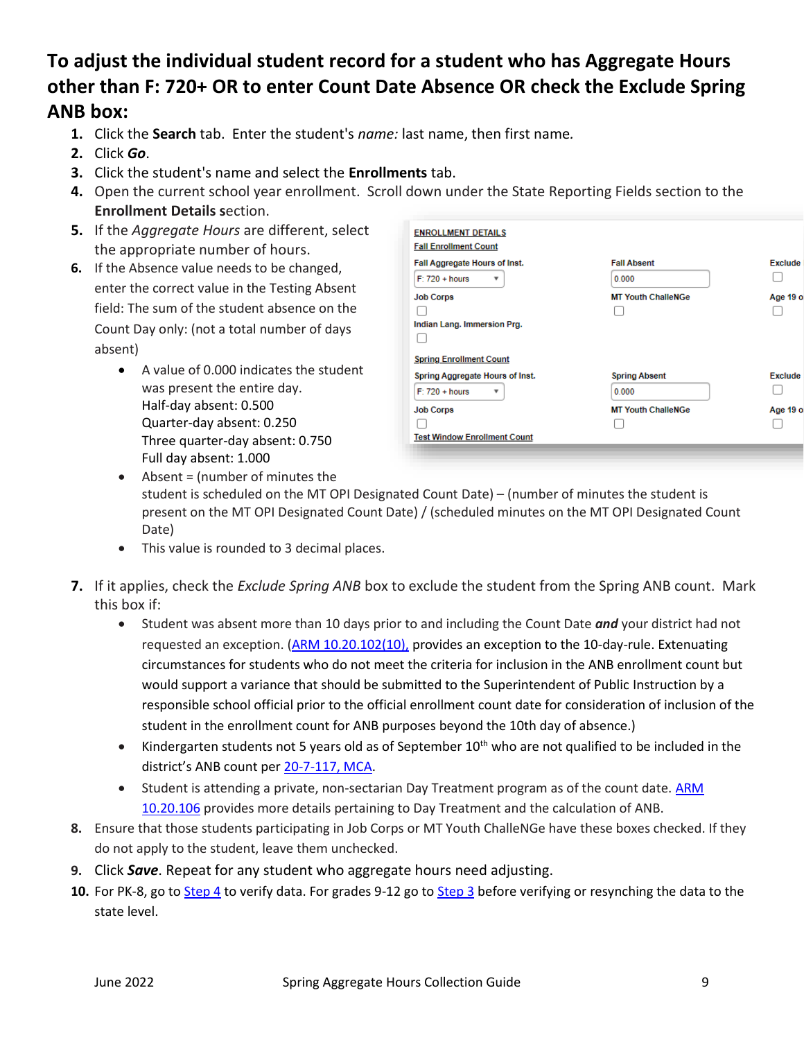# **To adjust the individual student record for a student who has Aggregate Hours other than F: 720+ OR to enter Count Date Absence OR check the Exclude Spring ANB box:**

- **1.** Click the **Search** tab. Enter the student's *name:* last name, then first name*.*
- **2.** Click *Go*.
- **3.** Click the student's name and select the **Enrollments** tab.
- **4.** Open the current school year enrollment. Scroll down under the State Reporting Fields section to the **Enrollment Details s**ection.
- **5.** If the *Aggregate Hours* are different, select the appropriate number of hours.
- **6.** If the Absence value needs to be changed, enter the correct value in the Testing Absent field: The sum of the student absence on the Count Day only: (not a total number of days absent)
	- A value of 0.000 indicates the student was present the entire day. Half-day absent: 0.500 Quarter-day absent: 0.250 Three quarter-day absent: 0.750 Full day absent: 1.000

| <b>ENROLLMENT DETAILS</b><br><b>Fall Enrollment Count</b> |                               |                |
|-----------------------------------------------------------|-------------------------------|----------------|
| Fall Aggregate Hours of Inst.<br>$F: 720 + hours$         | <b>Fall Absent</b><br>0.000   | <b>Exclude</b> |
| <b>Job Corps</b><br>Indian Lang. Immersion Prg.           | <b>MT Youth ChalleNGe</b>     | Age 19 o       |
| <b>Spring Enrollment Count</b>                            |                               |                |
| Spring Aggregate Hours of Inst.<br>$F: 720 + hours$       | <b>Spring Absent</b><br>0.000 | <b>Exclude</b> |
| <b>Job Corps</b>                                          | <b>MT Youth ChalleNGe</b>     | Age 19 o       |
|                                                           |                               |                |
| <b>Test Window Enrollment Count</b>                       |                               |                |
|                                                           |                               |                |

- Absent = (number of minutes the student is scheduled on the MT OPI Designated Count Date) – (number of minutes the student is present on the MT OPI Designated Count Date) / (scheduled minutes on the MT OPI Designated Count Date)
- This value is rounded to 3 decimal places.
- **7.** If it applies, check the *Exclude Spring ANB* box to exclude the student from the Spring ANB count. Mark this box if:
	- Student was absent more than 10 days prior to and including the Count Date *and* your district had not requested an exception. [\(ARM 10.20.102\(10\),](http://www.mtrules.org/gateway/ruleno.asp?RN=10%2E20%2E102) provides an exception to the 10-day-rule. Extenuating circumstances for students who do not meet the criteria for inclusion in the ANB enrollment count but would support a variance that should be submitted to the Superintendent of Public Instruction by a responsible school official prior to the official enrollment count date for consideration of inclusion of the student in the enrollment count for ANB purposes beyond the 10th day of absence.)
	- Kindergarten students not 5 years old as of September  $10^{th}$  who are not qualified to be included in the district's ANB count per [20-7-117, MCA.](https://leg.mt.gov/bills/mca/title_0200/chapter_0070/part_0010/section_0170/0200-0070-0010-0170.html)
	- Student is attending a private, non-sectarian Day Treatment program as of the count date. [ARM](http://www.mtrules.org/gateway/ruleno.asp?RN=10.20.106)  [10.20.106](http://www.mtrules.org/gateway/ruleno.asp?RN=10.20.106) provides more details pertaining to Day Treatment and the calculation of ANB.
- **8.** Ensure that those students participating in Job Corps or MT Youth ChalleNGe have these boxes checked. If they do not apply to the student, leave them unchecked.
- **9.** Click *Save*. Repeat for any student who aggregate hours need adjusting.
- <span id="page-8-0"></span>**10.** For PK-8, go to [Step 4](#page-10-0) to verify data. For grades 9-12 go to [Step 3](#page-8-0) before verifying or resynching the data to the state level.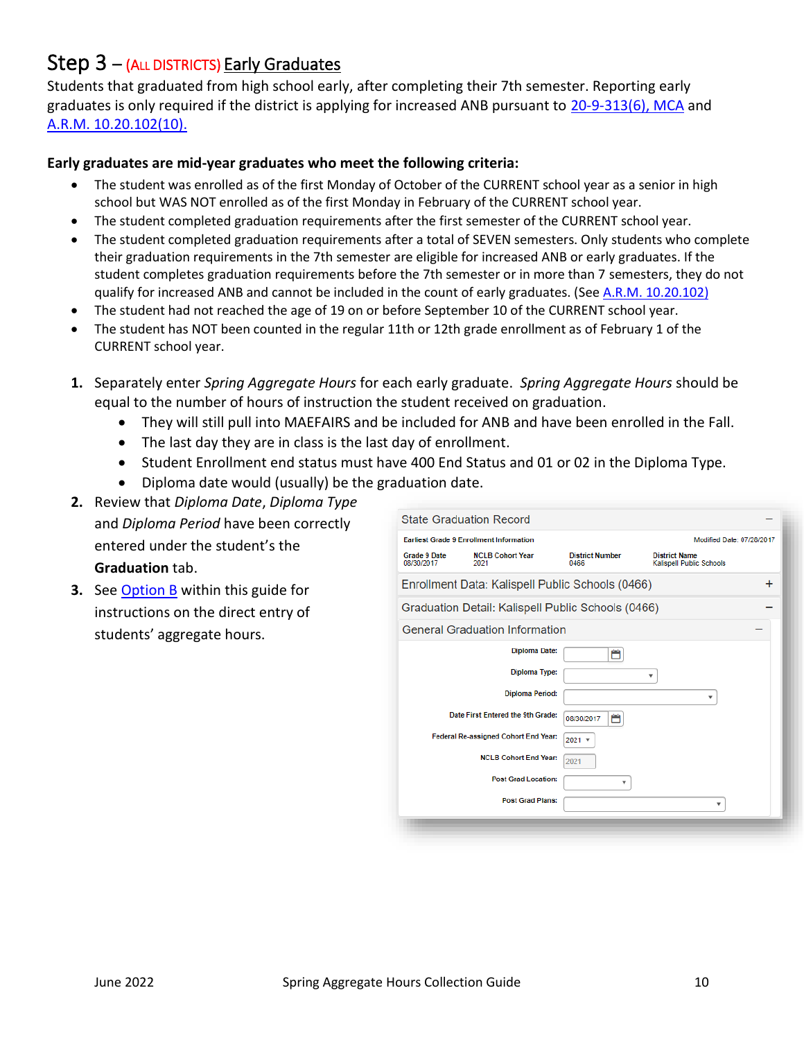## <span id="page-9-0"></span> $Step 3 - (ALDISTRICTS)$  Early Graduates

Students that graduated from high school early, after completing their 7th semester. Reporting early graduates is only required if the district is applying for increased ANB pursuant to [20-9-313\(6\), MCA](https://leg.mt.gov/bills/mca/title_0200/chapter_0090/part_0030/section_0130/0200-0090-0030-0130.html) and [A.R.M. 10.20.102\(10\).](http://www.mtrules.org/gateway/ruleno.asp?RN=10.20.102)

#### **Early graduates are mid-year graduates who meet the following criteria:**

- The student was enrolled as of the first Monday of October of the CURRENT school year as a senior in high school but WAS NOT enrolled as of the first Monday in February of the CURRENT school year.
- The student completed graduation requirements after the first semester of the CURRENT school year.
- The student completed graduation requirements after a total of SEVEN semesters. Only students who complete their graduation requirements in the 7th semester are eligible for increased ANB or early graduates. If the student completes graduation requirements before the 7th semester or in more than 7 semesters, they do not qualify for increased ANB and cannot be included in the count of early graduates. (See [A.R.M. 10.20.102\)](http://www.mtrules.org/gateway/ruleno.asp?RN=10%2E20%2E102)
- The student had not reached the age of 19 on or before September 10 of the CURRENT school year.
- The student has NOT been counted in the regular 11th or 12th grade enrollment as of February 1 of the CURRENT school year.
- **1.** Separately enter *Spring Aggregate Hours* for each early graduate. *Spring Aggregate Hours* should be equal to the number of hours of instruction the student received on graduation.
	- They will still pull into MAEFAIRS and be included for ANB and have been enrolled in the Fall.
	- The last day they are in class is the last day of enrollment.
	- Student Enrollment end status must have 400 End Status and 01 or 02 in the Diploma Type.
	- Diploma date would (usually) be the graduation date.
- **2.** Review that *Diploma Date*, *Diploma Type* and *Diploma Period* have been correctly entered under the student's the **Graduation** tab.
- **3.** See [Option](#page-5-1) B within this guide for instructions on the direct entry of students' aggregate hours.

|                            | <b>Earliest Grade 9 Enrollment Information</b>     |                                | Modified Date: 07/28/2017                        |   |
|----------------------------|----------------------------------------------------|--------------------------------|--------------------------------------------------|---|
| Grade 9 Date<br>08/30/2017 | <b>NCLB Cohort Year</b><br>2021                    | <b>District Number</b><br>0466 | <b>District Name</b><br>Kalispell Public Schools |   |
|                            | Enrollment Data: Kalispell Public Schools (0466)   |                                |                                                  | + |
|                            | Graduation Detail: Kalispell Public Schools (0466) |                                |                                                  |   |
|                            | <b>General Graduation Information</b>              |                                |                                                  |   |
|                            | <b>Diploma Date:</b>                               | m                              |                                                  |   |
|                            | <b>Diploma Type:</b>                               |                                | ۰                                                |   |
|                            | <b>Diploma Period:</b>                             |                                | ۰                                                |   |
|                            | Date First Entered the 9th Grade:                  | ٣<br>08/30/2017                |                                                  |   |
|                            | Federal Re-assigned Cohort End Year:               | $2021$ $*$                     |                                                  |   |
|                            | <b>NCLB Cohort End Year:</b>                       | 2021                           |                                                  |   |
|                            | <b>Post Grad Location:</b>                         | ۳                              |                                                  |   |
|                            | <b>Post Grad Plans:</b>                            |                                | ۳                                                |   |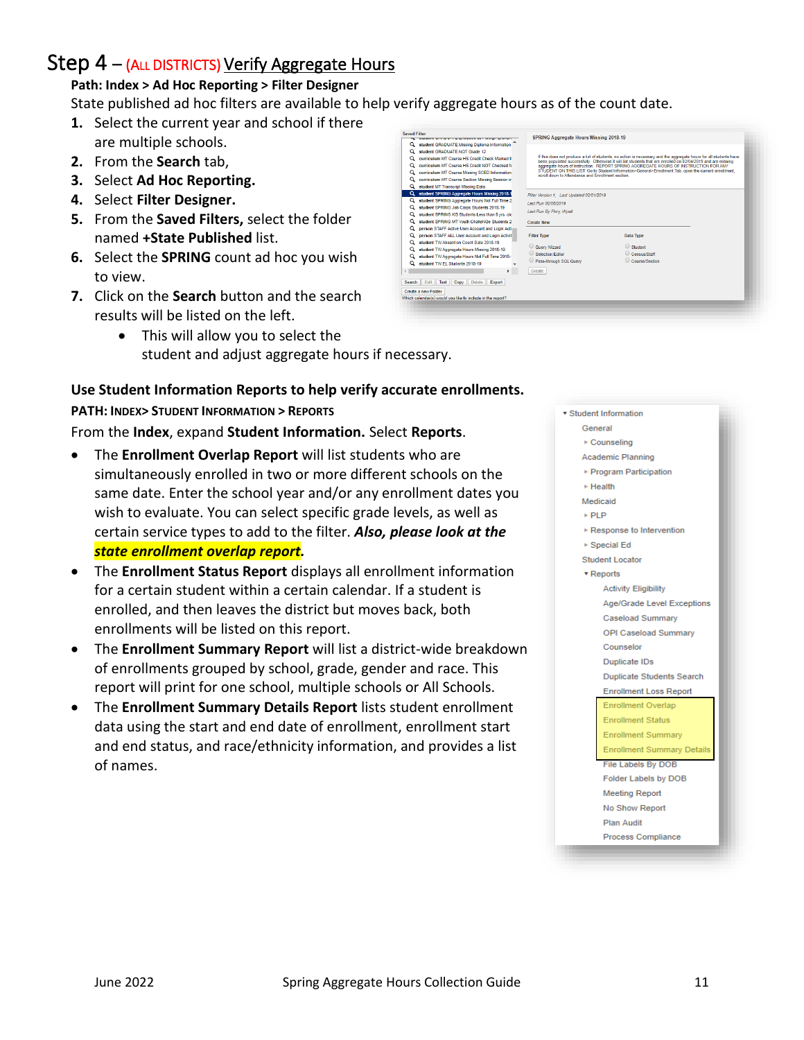## <span id="page-10-0"></span>Step  $4 - (ALL DISTRICTS)$  Verify Aggregate Hours

#### **Path: Index > Ad Hoc Reporting > Filter Designer**

State published ad hoc filters are available to help verify aggregate hours as of the count date.

- **1.** Select the current year and school if there are multiple schools.
- **2.** From the **Search** tab,
- **3.** Select **Ad Hoc Reporting.**
- **4.** Select **Filter Designer.**
- **5.** From the **Saved Filters,** select the folder named **+State Published** list.
- **6.** Select the **SPRING** count ad hoc you wish to view.
- **7.** Click on the **Search** button and the search results will be listed on the left.
	- This will allow you to select the student and adjust aggregate hours if necessary.



#### **Use Student Information Reports to help verify accurate enrollments.**

#### **PATH: INDEX> STUDENT INFORMATION > REPORTS**

From the **Index**, expand **Student Information.** Select **Reports**.

- The **Enrollment Overlap Report** will list students who are simultaneously enrolled in two or more different schools on the same date. Enter the school year and/or any enrollment dates you wish to evaluate. You can select specific grade levels, as well as certain service types to add to the filter. *Also, please look at the state enrollment overlap report.*
- The **Enrollment Status Report** displays all enrollment information for a certain student within a certain calendar. If a student is enrolled, and then leaves the district but moves back, both enrollments will be listed on this report.
- The **Enrollment Summary Report** will list a district-wide breakdown of enrollments grouped by school, grade, gender and race. This report will print for one school, multiple schools or All Schools.
- The **Enrollment Summary Details Report** lists student enrollment data using the start and end date of enrollment, enrollment start and end status, and race/ethnicity information, and provides a list of names.